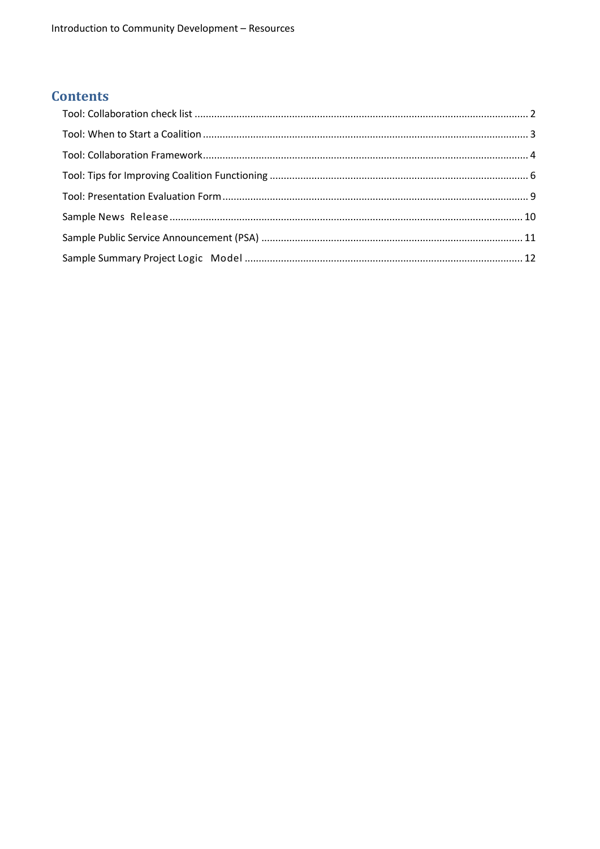## **Contents**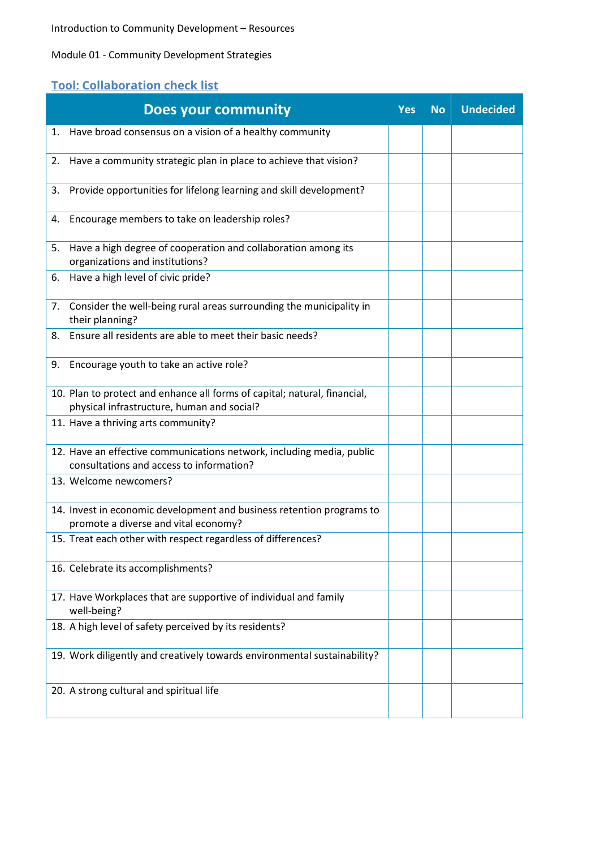#### Module 01 - Community Development Strategies

# <span id="page-1-0"></span>**Tool: Collaboration check list**

|    | <b>Does your community</b>                                                                                              | <b>Yes</b> | <b>No</b> | <b>Undecided</b> |
|----|-------------------------------------------------------------------------------------------------------------------------|------------|-----------|------------------|
| 1. | Have broad consensus on a vision of a healthy community                                                                 |            |           |                  |
| 2. | Have a community strategic plan in place to achieve that vision?                                                        |            |           |                  |
| 3. | Provide opportunities for lifelong learning and skill development?                                                      |            |           |                  |
| 4. | Encourage members to take on leadership roles?                                                                          |            |           |                  |
| 5. | Have a high degree of cooperation and collaboration among its<br>organizations and institutions?                        |            |           |                  |
| 6. | Have a high level of civic pride?                                                                                       |            |           |                  |
| 7. | Consider the well-being rural areas surrounding the municipality in<br>their planning?                                  |            |           |                  |
| 8. | Ensure all residents are able to meet their basic needs?                                                                |            |           |                  |
| 9. | Encourage youth to take an active role?                                                                                 |            |           |                  |
|    | 10. Plan to protect and enhance all forms of capital; natural, financial,<br>physical infrastructure, human and social? |            |           |                  |
|    | 11. Have a thriving arts community?                                                                                     |            |           |                  |
|    | 12. Have an effective communications network, including media, public<br>consultations and access to information?       |            |           |                  |
|    | 13. Welcome newcomers?                                                                                                  |            |           |                  |
|    | 14. Invest in economic development and business retention programs to<br>promote a diverse and vital economy?           |            |           |                  |
|    | 15. Treat each other with respect regardless of differences?                                                            |            |           |                  |
|    | 16. Celebrate its accomplishments?                                                                                      |            |           |                  |
|    | 17. Have Workplaces that are supportive of individual and family<br>well-being?                                         |            |           |                  |
|    | 18. A high level of safety perceived by its residents?                                                                  |            |           |                  |
|    | 19. Work diligently and creatively towards environmental sustainability?                                                |            |           |                  |
|    | 20. A strong cultural and spiritual life                                                                                |            |           |                  |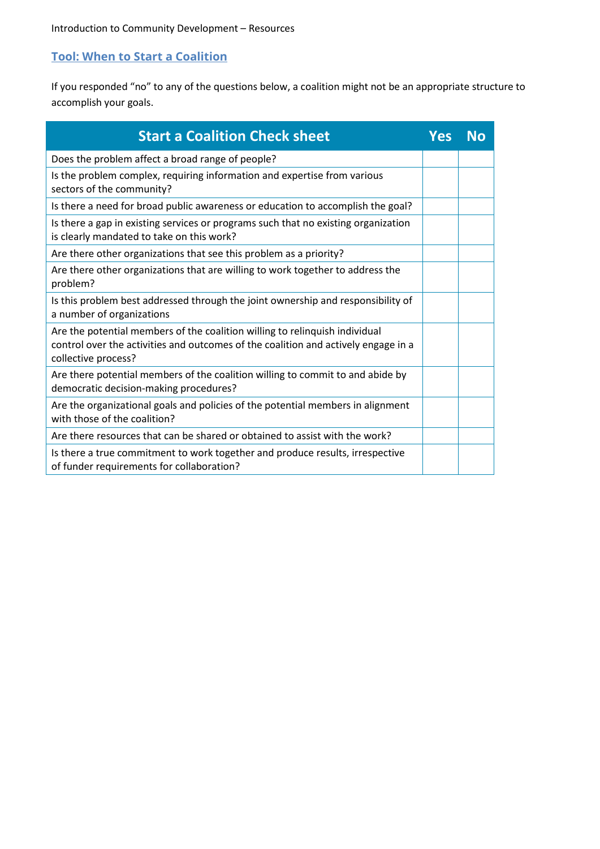### <span id="page-2-0"></span>**Tool: When to Start a Coalition**

If you responded "no" to any of the questions below, a coalition might not be an appropriate structure to accomplish your goals.

| <b>Start a Coalition Check sheet</b>                                                                                                                                                     | Yes | Nο |
|------------------------------------------------------------------------------------------------------------------------------------------------------------------------------------------|-----|----|
| Does the problem affect a broad range of people?                                                                                                                                         |     |    |
| Is the problem complex, requiring information and expertise from various<br>sectors of the community?                                                                                    |     |    |
| Is there a need for broad public awareness or education to accomplish the goal?                                                                                                          |     |    |
| Is there a gap in existing services or programs such that no existing organization<br>is clearly mandated to take on this work?                                                          |     |    |
| Are there other organizations that see this problem as a priority?                                                                                                                       |     |    |
| Are there other organizations that are willing to work together to address the<br>problem?                                                                                               |     |    |
| Is this problem best addressed through the joint ownership and responsibility of<br>a number of organizations                                                                            |     |    |
| Are the potential members of the coalition willing to relinquish individual<br>control over the activities and outcomes of the coalition and actively engage in a<br>collective process? |     |    |
| Are there potential members of the coalition willing to commit to and abide by<br>democratic decision-making procedures?                                                                 |     |    |
| Are the organizational goals and policies of the potential members in alignment<br>with those of the coalition?                                                                          |     |    |
| Are there resources that can be shared or obtained to assist with the work?                                                                                                              |     |    |
| Is there a true commitment to work together and produce results, irrespective<br>of funder requirements for collaboration?                                                               |     |    |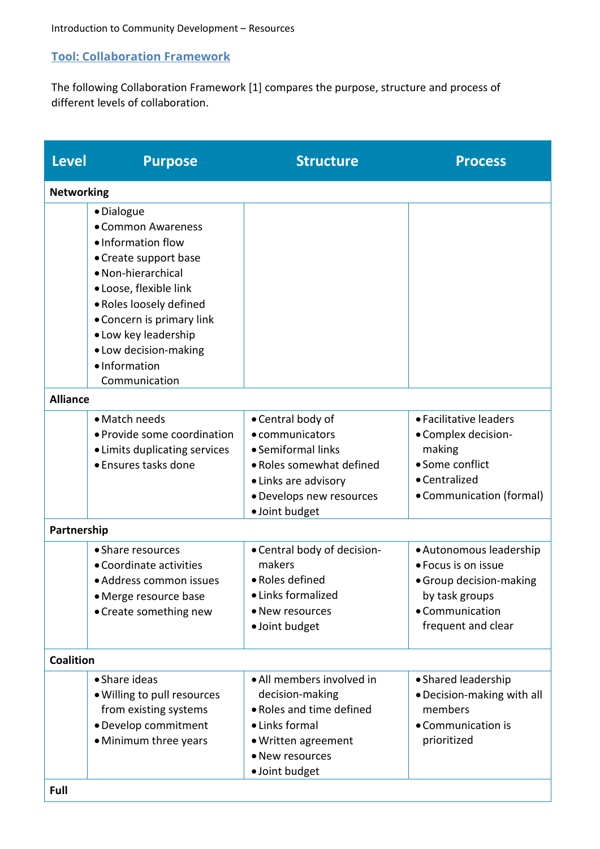### <span id="page-3-0"></span>**Tool: Collaboration Framework**

The following Collaboration Framework [1] compares the purpose, structure and process of different levels of collaboration.

| <b>Level</b>      | <b>Purpose</b>                                                                                                                                                                                                                                            | <b>Structure</b>                                                                                                                                             | <b>Process</b>                                                                                                                       |
|-------------------|-----------------------------------------------------------------------------------------------------------------------------------------------------------------------------------------------------------------------------------------------------------|--------------------------------------------------------------------------------------------------------------------------------------------------------------|--------------------------------------------------------------------------------------------------------------------------------------|
| <b>Networking</b> |                                                                                                                                                                                                                                                           |                                                                                                                                                              |                                                                                                                                      |
|                   | · Dialogue<br>• Common Awareness<br>• Information flow<br>• Create support base<br>• Non-hierarchical<br>· Loose, flexible link<br>· Roles loosely defined<br>• Concern is primary link<br>• Low key leadership<br>• Low decision-making<br>• Information |                                                                                                                                                              |                                                                                                                                      |
|                   | Communication                                                                                                                                                                                                                                             |                                                                                                                                                              |                                                                                                                                      |
| <b>Alliance</b>   |                                                                                                                                                                                                                                                           |                                                                                                                                                              |                                                                                                                                      |
|                   | • Match needs<br>• Provide some coordination<br>• Limits duplicating services<br>• Ensures tasks done                                                                                                                                                     | • Central body of<br>• communicators<br>• Semiformal links<br>• Roles somewhat defined<br>• Links are advisory<br>· Develops new resources<br>· Joint budget | • Facilitative leaders<br>• Complex decision-<br>making<br>• Some conflict<br>• Centralized<br>• Communication (formal)              |
| Partnership       |                                                                                                                                                                                                                                                           |                                                                                                                                                              |                                                                                                                                      |
|                   | • Share resources<br>• Coordinate activities<br>· Address common issues<br>• Merge resource base<br>• Create something new                                                                                                                                | • Central body of decision-<br>makers<br>• Roles defined<br>· Links formalized<br>• New resources<br>· Joint budget                                          | • Autonomous leadership<br>· Focus is on issue<br>• Group decision-making<br>by task groups<br>• Communication<br>frequent and clear |
| <b>Coalition</b>  |                                                                                                                                                                                                                                                           |                                                                                                                                                              |                                                                                                                                      |
|                   | • Share ideas<br>. Willing to pull resources<br>from existing systems<br>· Develop commitment<br>• Minimum three years                                                                                                                                    | • All members involved in<br>decision-making<br>· Roles and time defined<br>• Links formal<br>• Written agreement<br>• New resources<br>· Joint budget       | • Shared leadership<br>. Decision-making with all<br>members<br>• Communication is<br>prioritized                                    |
| Full              |                                                                                                                                                                                                                                                           |                                                                                                                                                              |                                                                                                                                      |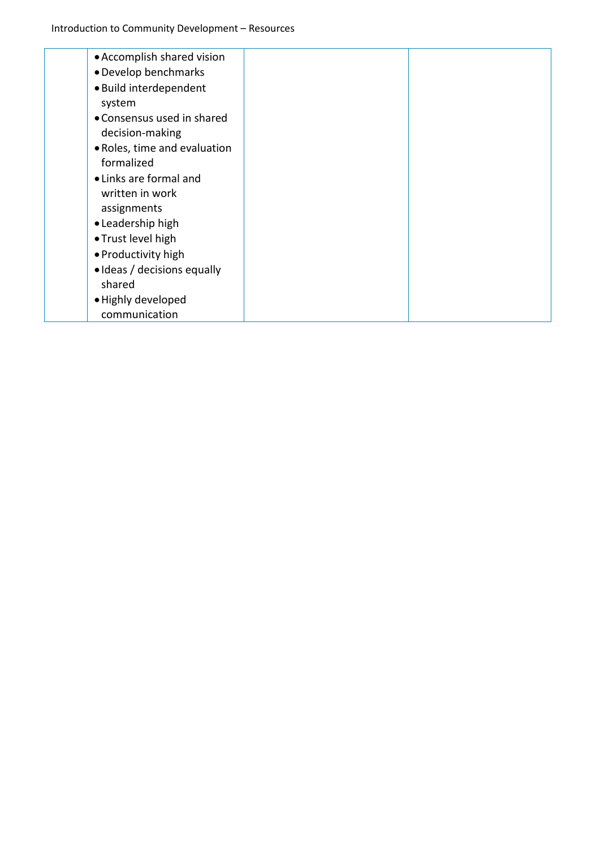| • Accomplish shared vision   |  |
|------------------------------|--|
| • Develop benchmarks         |  |
| · Build interdependent       |  |
| system                       |  |
| • Consensus used in shared   |  |
| decision-making              |  |
| • Roles, time and evaluation |  |
| formalized                   |  |
| • Links are formal and       |  |
| written in work              |  |
| assignments                  |  |
| • Leadership high            |  |
| • Trust level high           |  |
| • Productivity high          |  |
| • Ideas / decisions equally  |  |
| shared                       |  |
| • Highly developed           |  |
| communication                |  |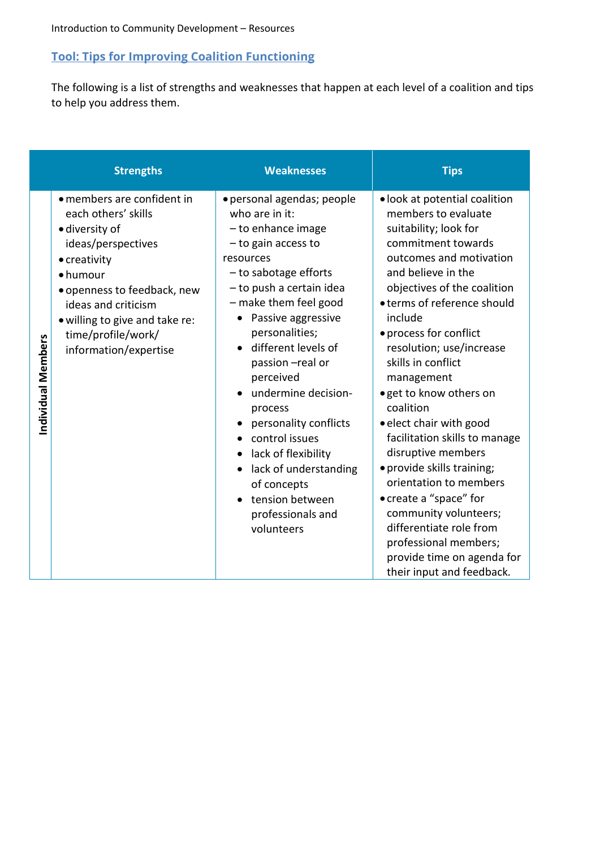# <span id="page-5-0"></span>**Tool: Tips for Improving Coalition Functioning**

The following is a list of strengths and weaknesses that happen at each level of a coalition and tips to help you address them.

|                    | <b>Strengths</b>                                                                                                                                                                                                                                             | <b>Weaknesses</b>                                                                                                                                                                                                                                                                                                                                                                                                                                                                        | <b>Tips</b>                                                                                                                                                                                                                                                                                                                                                                                                                                                                                                                                                                                                                                                                 |
|--------------------|--------------------------------------------------------------------------------------------------------------------------------------------------------------------------------------------------------------------------------------------------------------|------------------------------------------------------------------------------------------------------------------------------------------------------------------------------------------------------------------------------------------------------------------------------------------------------------------------------------------------------------------------------------------------------------------------------------------------------------------------------------------|-----------------------------------------------------------------------------------------------------------------------------------------------------------------------------------------------------------------------------------------------------------------------------------------------------------------------------------------------------------------------------------------------------------------------------------------------------------------------------------------------------------------------------------------------------------------------------------------------------------------------------------------------------------------------------|
| Individual Members | · members are confident in<br>each others' skills<br>· diversity of<br>ideas/perspectives<br>• creativity<br>• humour<br>• openness to feedback, new<br>ideas and criticism<br>· willing to give and take re:<br>time/profile/work/<br>information/expertise | · personal agendas; people<br>who are in it:<br>- to enhance image<br>- to gain access to<br>resources<br>$-$ to sabotage efforts<br>- to push a certain idea<br>- make them feel good<br>Passive aggressive<br>personalities;<br>different levels of<br>passion -real or<br>perceived<br>undermine decision-<br>process<br>personality conflicts<br>control issues<br>lack of flexibility<br>lack of understanding<br>of concepts<br>tension between<br>professionals and<br>volunteers | · look at potential coalition<br>members to evaluate<br>suitability; look for<br>commitment towards<br>outcomes and motivation<br>and believe in the<br>objectives of the coalition<br>• terms of reference should<br>include<br>• process for conflict<br>resolution; use/increase<br>skills in conflict<br>management<br>. get to know others on<br>coalition<br>· elect chair with good<br>facilitation skills to manage<br>disruptive members<br>· provide skills training;<br>orientation to members<br>• create a "space" for<br>community volunteers;<br>differentiate role from<br>professional members;<br>provide time on agenda for<br>their input and feedback. |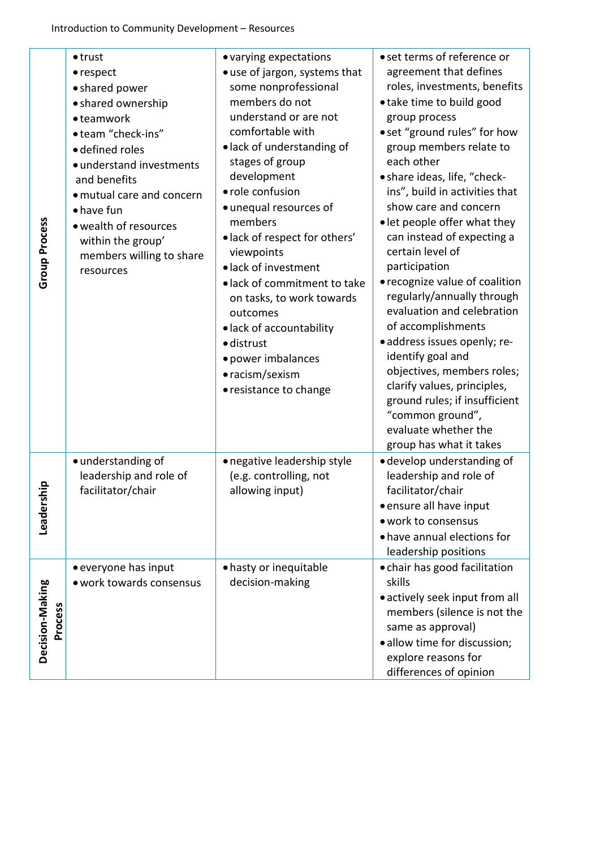| <b>Group Process</b>       | $\bullet$ trust<br>• respect<br>• shared power<br>• shared ownership<br>· teamwork<br>• team "check-ins"<br>· defined roles<br>· understand investments<br>and benefits<br>· mutual care and concern<br>• have fun<br>• wealth of resources<br>within the group'<br>members willing to share<br>resources | • varying expectations<br>• use of jargon, systems that<br>some nonprofessional<br>members do not<br>understand or are not<br>comfortable with<br>· lack of understanding of<br>stages of group<br>development<br>· role confusion<br>• unequal resources of<br>members<br>· lack of respect for others'<br>viewpoints<br>· lack of investment<br>· lack of commitment to take<br>on tasks, to work towards<br>outcomes<br>· lack of accountability<br>· distrust<br>· power imbalances<br>• racism/sexism<br>• resistance to change | • set terms of reference or<br>agreement that defines<br>roles, investments, benefits<br>• take time to build good<br>group process<br>• set "ground rules" for how<br>group members relate to<br>each other<br>• share ideas, life, "check-<br>ins", build in activities that<br>show care and concern<br>• let people offer what they<br>can instead of expecting a<br>certain level of<br>participation<br>• recognize value of coalition<br>regularly/annually through<br>evaluation and celebration<br>of accomplishments<br>· address issues openly; re-<br>identify goal and<br>objectives, members roles;<br>clarify values, principles,<br>ground rules; if insufficient<br>"common ground",<br>evaluate whether the<br>group has what it takes |
|----------------------------|-----------------------------------------------------------------------------------------------------------------------------------------------------------------------------------------------------------------------------------------------------------------------------------------------------------|--------------------------------------------------------------------------------------------------------------------------------------------------------------------------------------------------------------------------------------------------------------------------------------------------------------------------------------------------------------------------------------------------------------------------------------------------------------------------------------------------------------------------------------|----------------------------------------------------------------------------------------------------------------------------------------------------------------------------------------------------------------------------------------------------------------------------------------------------------------------------------------------------------------------------------------------------------------------------------------------------------------------------------------------------------------------------------------------------------------------------------------------------------------------------------------------------------------------------------------------------------------------------------------------------------|
| 흛<br>Leaders               | · understanding of<br>leadership and role of<br>facilitator/chair                                                                                                                                                                                                                                         | • negative leadership style<br>(e.g. controlling, not<br>allowing input)                                                                                                                                                                                                                                                                                                                                                                                                                                                             | · develop understanding of<br>leadership and role of<br>facilitator/chair<br>• ensure all have input<br>· work to consensus<br>• have annual elections for<br>leadership positions                                                                                                                                                                                                                                                                                                                                                                                                                                                                                                                                                                       |
| Decision-Making<br>Process | • everyone has input<br>· work towards consensus                                                                                                                                                                                                                                                          | • hasty or inequitable<br>decision-making                                                                                                                                                                                                                                                                                                                                                                                                                                                                                            | • chair has good facilitation<br>skills<br>• actively seek input from all<br>members (silence is not the<br>same as approval)<br>· allow time for discussion;<br>explore reasons for<br>differences of opinion                                                                                                                                                                                                                                                                                                                                                                                                                                                                                                                                           |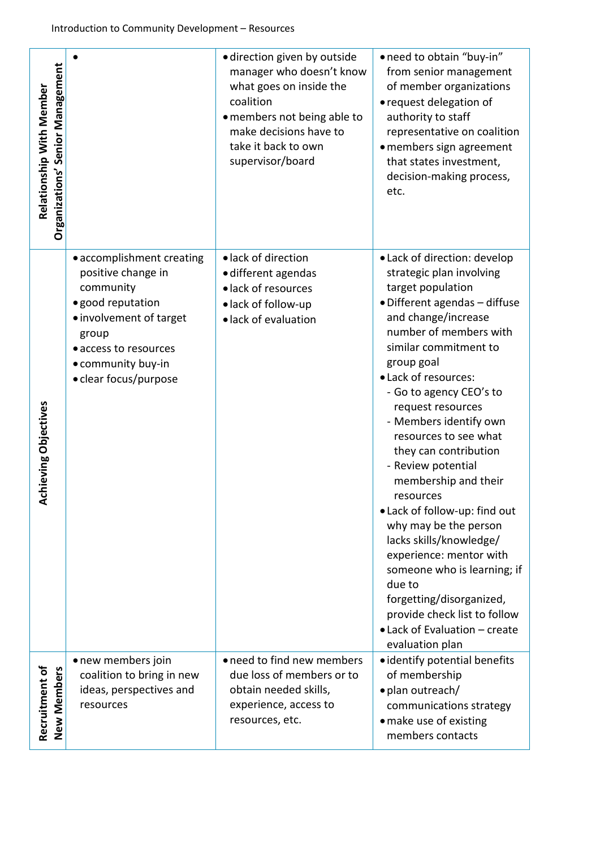| Organizations' Senior Management<br>Relationship With Member |                                                                                                                                                                                               | · direction given by outside<br>manager who doesn't know<br>what goes on inside the<br>coalition<br>· members not being able to<br>make decisions have to<br>take it back to own<br>supervisor/board | • need to obtain "buy-in"<br>from senior management<br>of member organizations<br>• request delegation of<br>authority to staff<br>representative on coalition<br>• members sign agreement<br>that states investment,<br>decision-making process,<br>etc.                                                                                                                                                                                                                                                                                                                                                                                                                                      |
|--------------------------------------------------------------|-----------------------------------------------------------------------------------------------------------------------------------------------------------------------------------------------|------------------------------------------------------------------------------------------------------------------------------------------------------------------------------------------------------|------------------------------------------------------------------------------------------------------------------------------------------------------------------------------------------------------------------------------------------------------------------------------------------------------------------------------------------------------------------------------------------------------------------------------------------------------------------------------------------------------------------------------------------------------------------------------------------------------------------------------------------------------------------------------------------------|
| chieving Objectives<br>∢                                     | • accomplishment creating<br>positive change in<br>community<br>· good reputation<br>· involvement of target<br>group<br>• access to resources<br>• community buy-in<br>• clear focus/purpose | · lack of direction<br>· different agendas<br>· lack of resources<br>·lack of follow-up<br>· lack of evaluation                                                                                      | • Lack of direction: develop<br>strategic plan involving<br>target population<br>· Different agendas - diffuse<br>and change/increase<br>number of members with<br>similar commitment to<br>group goal<br>• Lack of resources:<br>- Go to agency CEO's to<br>request resources<br>- Members identify own<br>resources to see what<br>they can contribution<br>- Review potential<br>membership and their<br>resources<br>. Lack of follow-up: find out<br>why may be the person<br>lacks skills/knowledge/<br>experience: mentor with<br>someone who is learning; if<br>due to<br>forgetting/disorganized,<br>provide check list to follow<br>• Lack of Evaluation - create<br>evaluation plan |
| Recruitment of<br>New Members                                | • new members join<br>coalition to bring in new<br>ideas, perspectives and<br>resources                                                                                                       | • need to find new members<br>due loss of members or to<br>obtain needed skills,<br>experience, access to<br>resources, etc.                                                                         | • identify potential benefits<br>of membership<br>· plan outreach/<br>communications strategy<br>• make use of existing<br>members contacts                                                                                                                                                                                                                                                                                                                                                                                                                                                                                                                                                    |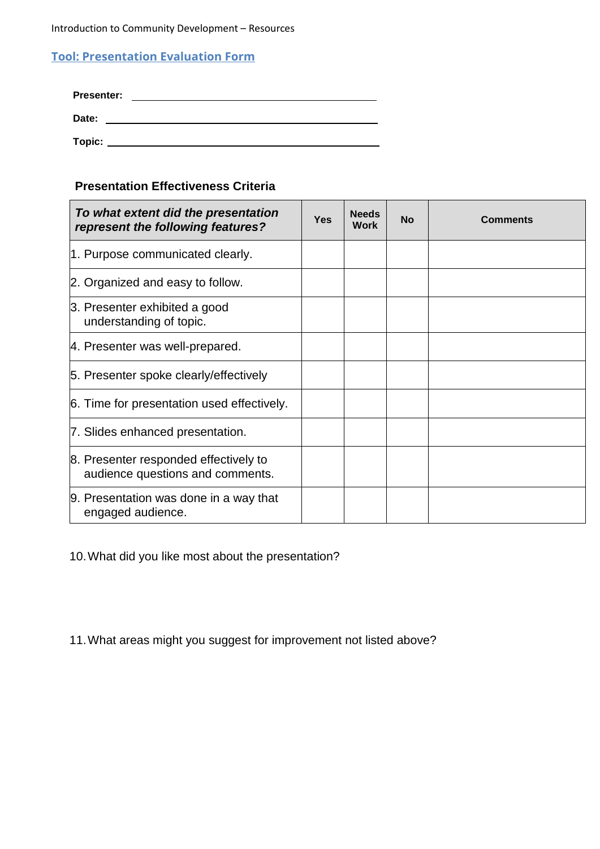Introduction to Community Development – Resources

## <span id="page-8-0"></span>**Tool: Presentation Evaluation Form**

| <b>Presenter:</b> |  |
|-------------------|--|
| Date:             |  |
| Topic:            |  |

## **Presentation Effectiveness Criteria**

| To what extent did the presentation<br>represent the following features?  | Yes | <b>Needs</b><br>Work | <b>No</b> | <b>Comments</b> |
|---------------------------------------------------------------------------|-----|----------------------|-----------|-----------------|
| 1. Purpose communicated clearly.                                          |     |                      |           |                 |
| 2. Organized and easy to follow.                                          |     |                      |           |                 |
| 3. Presenter exhibited a good<br>understanding of topic.                  |     |                      |           |                 |
| 4. Presenter was well-prepared.                                           |     |                      |           |                 |
| 5. Presenter spoke clearly/effectively                                    |     |                      |           |                 |
| 6. Time for presentation used effectively.                                |     |                      |           |                 |
| 7. Slides enhanced presentation.                                          |     |                      |           |                 |
| 8. Presenter responded effectively to<br>audience questions and comments. |     |                      |           |                 |
| 9. Presentation was done in a way that<br>engaged audience.               |     |                      |           |                 |

10.What did you like most about the presentation?

11.What areas might you suggest for improvement not listed above?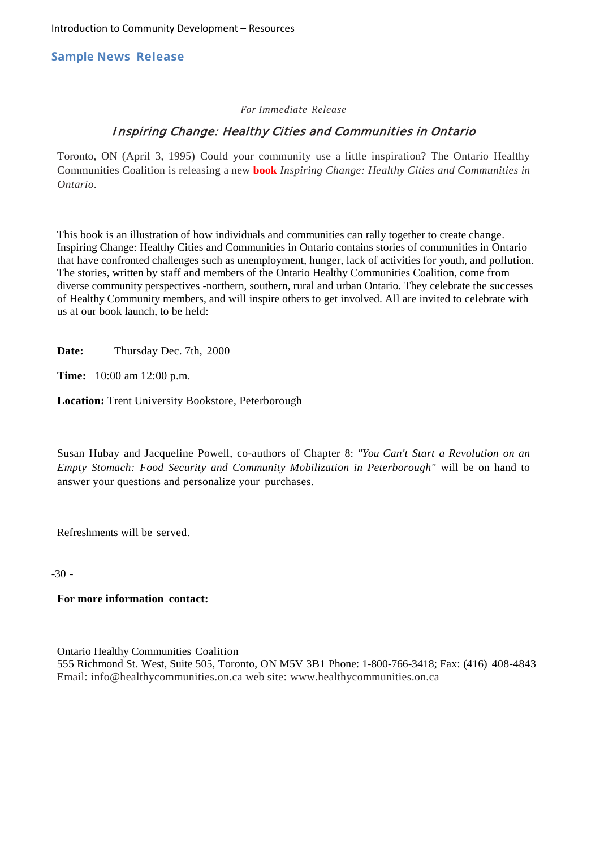<span id="page-9-0"></span>**Sample News Release**

#### *For Immediate Release*

#### Inspiring Change: Healthy Cities and Communities in Ontario

Toronto, ON (April 3, 1995) Could your community use a little inspiration? The Ontario Healthy Communities Coalition is releasing a new **book** *Inspiring Change: Healthy Cities and Communities in Ontario*.

This book is an illustration of how individuals and communities can rally together to create change. Inspiring Change: Healthy Cities and Communities in Ontario contains stories of communities in Ontario that have confronted challenges such as unemployment, hunger, lack of activities for youth, and pollution. The stories, written by staff and members of the Ontario Healthy Communities Coalition, come from diverse community perspectives -northern, southern, rural and urban Ontario. They celebrate the successes of Healthy Community members, and will inspire others to get involved. All are invited to celebrate with us at our book launch, to be held:

**Date:** Thursday Dec. 7th, 2000

**Time:** 10:00 am 12:00 p.m.

**Location:** Trent University Bookstore, Peterborough

Susan Hubay and Jacqueline Powell, co-authors of Chapter 8: *"You Can't Start a Revolution on an Empty Stomach: Food Security and Community Mobilization in Peterborough"* will be on hand to answer your questions and personalize your purchases.

Refreshments will be served.

 $-30 -$ 

#### **For more information contact:**

Ontario Healthy Communities Coalition

555 Richmond St. West, Suite 505, Toronto, ON M5V 3B1 Phone: 1-800-766-3418; Fax: (416) 408-4843 Email: [info@healthycommunities.on.ca](mailto:info@healthycommunities.on.ca) web site: [www.healthycommunities.on.ca](http://www.healthycommunities.on.ca/)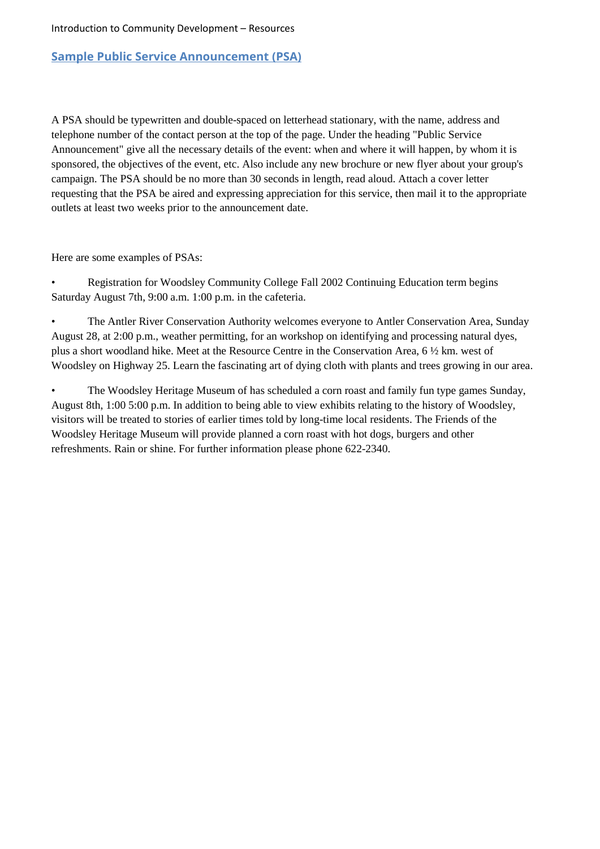#### <span id="page-10-0"></span>**Sample Public Service Announcement (PSA)**

A PSA should be typewritten and double-spaced on letterhead stationary, with the name, address and telephone number of the contact person at the top of the page. Under the heading "Public Service Announcement" give all the necessary details of the event: when and where it will happen, by whom it is sponsored, the objectives of the event, etc. Also include any new brochure or new flyer about your group's campaign. The PSA should be no more than 30 seconds in length, read aloud. Attach a cover letter requesting that the PSA be aired and expressing appreciation for this service, then mail it to the appropriate outlets at least two weeks prior to the announcement date.

Here are some examples of PSAs:

• Registration for Woodsley Community College Fall 2002 Continuing Education term begins Saturday August 7th, 9:00 a.m. 1:00 p.m. in the cafeteria.

• The Antler River Conservation Authority welcomes everyone to Antler Conservation Area, Sunday August 28, at 2:00 p.m., weather permitting, for an workshop on identifying and processing natural dyes, plus a short woodland hike. Meet at the Resource Centre in the Conservation Area, 6 ½ km. west of Woodsley on Highway 25. Learn the fascinating art of dying cloth with plants and trees growing in our area.

• The Woodsley Heritage Museum of has scheduled a corn roast and family fun type games Sunday, August 8th, 1:00 5:00 p.m. In addition to being able to view exhibits relating to the history of Woodsley, visitors will be treated to stories of earlier times told by long-time local residents. The Friends of the Woodsley Heritage Museum will provide planned a corn roast with hot dogs, burgers and other refreshments. Rain or shine. For further information please phone 622-2340.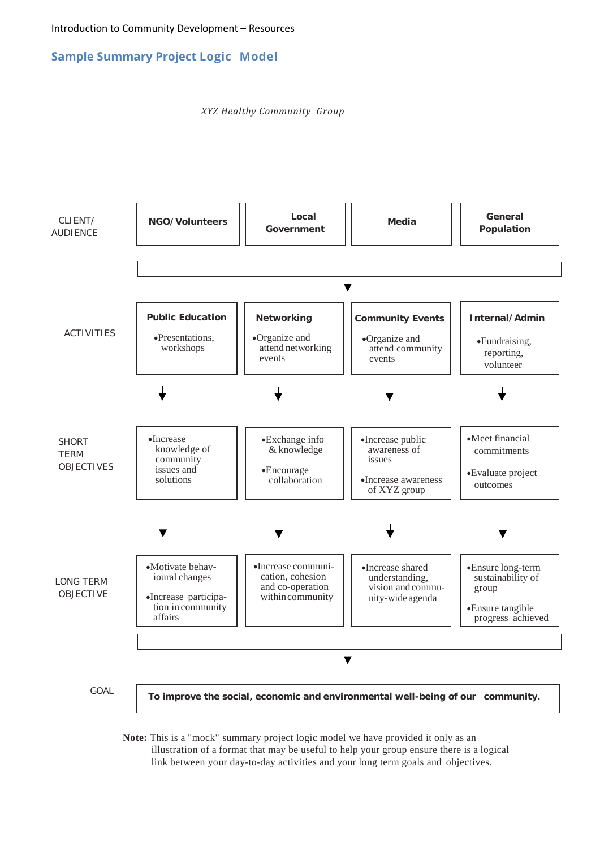<span id="page-11-0"></span>**Sample Summary Project Logic Model**

*XYZ Healthy Community Group*



**Note:** This is a "mock" summary project logic model we have provided it only as an illustration of a format that may be useful to help your group ensure there is a logical link between your day-to-day activities and your long term goals and objectives.